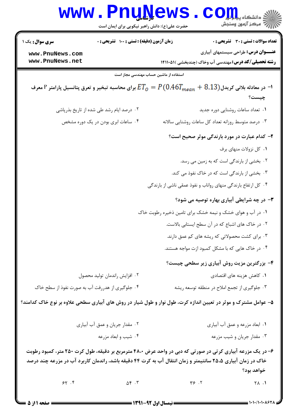| <b>WWW</b>                                                                                                                      | <b>LUTIN</b><br>حضرت علی(ع): دانش راهبر نیکویی برای ایمان است |                                                               |                                                    | ه دانشگاه پ <b>یا ب<sup>ا</sup> تو</b><br>ر آ مرڪز آزمون وسنڊش                                                                                                                                                                                                                                             |
|---------------------------------------------------------------------------------------------------------------------------------|---------------------------------------------------------------|---------------------------------------------------------------|----------------------------------------------------|------------------------------------------------------------------------------------------------------------------------------------------------------------------------------------------------------------------------------------------------------------------------------------------------------------|
| <b>سری سوال :</b> یک ۱                                                                                                          | زمان آزمون (دقیقه) : تستی : ۱۰۰٪ تشریحی : ۰                   |                                                               |                                                    | <b>تعداد سوالات : تستی : 30 ٪ تشریحی : 0</b>                                                                                                                                                                                                                                                               |
| www.PnuNews.com<br>www.PnuNews.net                                                                                              |                                                               |                                                               |                                                    | <b>عنـــوان درس:</b> طراحی سیستمهای آبیاری                                                                                                                                                                                                                                                                 |
|                                                                                                                                 |                                                               |                                                               |                                                    | <b>رشته تحصیلی/کد درس:</b> مهندسی آب وخاک (چندبخشی )۵۱۱۰۵۱۱                                                                                                                                                                                                                                                |
|                                                                                                                                 |                                                               | استفاده از ماشین حساب مهندسی مجاز است                         |                                                    |                                                                                                                                                                                                                                                                                                            |
| ا- در معادله بلانی کریدل $F$ .9.13 $P_{mean} = P\left(0.467_{mean}+0.13\right)$ برای محاسبه تبخیر و تعرق پتانسیل پارامتر P معرف |                                                               |                                                               |                                                    |                                                                                                                                                                                                                                                                                                            |
|                                                                                                                                 |                                                               |                                                               |                                                    | چیست؟                                                                                                                                                                                                                                                                                                      |
|                                                                                                                                 | ۰۲ درصد ایام رشد طی شده از تاریخ بذرپاشی                      |                                                               |                                                    | ۰۱ تعداد ساعات روشنایی دوره جدید                                                                                                                                                                                                                                                                           |
|                                                                                                                                 | ۰۴ ساعات ابری بودن در یک دوره مشخص                            |                                                               | ۰۳ درصد متوسط روزانه تعداد کل ساعات روشنایی سالانه |                                                                                                                                                                                                                                                                                                            |
|                                                                                                                                 |                                                               |                                                               |                                                    | ۲- کدام عبارت در مورد بارندگی موثر صحیح است؟                                                                                                                                                                                                                                                               |
|                                                                                                                                 |                                                               |                                                               |                                                    | ۰۱ کل نزولات منهای برف                                                                                                                                                                                                                                                                                     |
|                                                                                                                                 |                                                               |                                                               | ۰۲ بخشی از بارندگی است که به زمین می رسد.          |                                                                                                                                                                                                                                                                                                            |
|                                                                                                                                 |                                                               |                                                               | ۰۳ بخشی از بارندگی است که در خاک نفوذ می کند.      |                                                                                                                                                                                                                                                                                                            |
|                                                                                                                                 |                                                               | ۰۴ کل ارتفاع بارندگی منهای رواناب و نفوذ عمقی ناشی از بارندگی |                                                    |                                                                                                                                                                                                                                                                                                            |
|                                                                                                                                 |                                                               |                                                               |                                                    | ۳- در چه شرایطی آبیاری بهاره توصیه می شود؟                                                                                                                                                                                                                                                                 |
|                                                                                                                                 |                                                               | ۰۱ در آب و هوای خشک و نیمه خشک برای تامین ذخیره رطوبت خاک     |                                                    |                                                                                                                                                                                                                                                                                                            |
|                                                                                                                                 |                                                               |                                                               | ۰۲ در خاک های اشباع که در آن سطح ایستابی بالاست.   |                                                                                                                                                                                                                                                                                                            |
|                                                                                                                                 |                                                               |                                                               | ۰۳ برای کشت محصولاتی که ریشه های کم عمق دارند.     |                                                                                                                                                                                                                                                                                                            |
|                                                                                                                                 |                                                               |                                                               | ۰۴ در خاک هایی که با مشکل کمبود ازت مواجه هستند.   |                                                                                                                                                                                                                                                                                                            |
|                                                                                                                                 |                                                               |                                                               |                                                    | ۴- بزرگترین مزیت روش آبیاری زیر سطحی چیست؟                                                                                                                                                                                                                                                                 |
|                                                                                                                                 | ۰۲ افزایش راندمان تولید محصول                                 |                                                               |                                                    | ۰۱ کاهش هزینه های اقتصادی                                                                                                                                                                                                                                                                                  |
| ۰۴ جلوگیری از هدررفت آب به صورت نفوذ از سطح خاک                                                                                 |                                                               |                                                               | ۰۳ جلوگیری از تجمع املاح در منطقه توسعه ریشه       |                                                                                                                                                                                                                                                                                                            |
| ۵– عوامل مشترک و موثر در تعیین اندازه کرت، طول نوار و طول شیار در روش های آبیاری سطحی علاوه بر نوع خاک کدامند؟                  |                                                               |                                                               |                                                    |                                                                                                                                                                                                                                                                                                            |
|                                                                                                                                 | ۰۲ مقدار جریان و عمق آب آبیاری                                |                                                               |                                                    | ۰۱ ابعاد مزرعه و عمق آب آبیاری                                                                                                                                                                                                                                                                             |
|                                                                                                                                 | ۰۴ شیب و ابعاد مزرعه                                          |                                                               |                                                    | ۰۳ مقدار جریان و شیب مزرعه                                                                                                                                                                                                                                                                                 |
| ۶– در یک مزرعه آبیاری کرتی در صورتی که دبی در واحد عرض ۴۸،۰ مترمربع بر دقیقه، طول کرت ۲۵۰ متر، کمبود رطوبت                      |                                                               |                                                               |                                                    |                                                                                                                                                                                                                                                                                                            |
| خاک در زمان آبیاری ۲۵،۵ سانتیمتر و زمان انتقال آب به کرت ۴۴ دقیقه باشد، راندمان کاربرد آب در مزرعه چند درصد                     |                                                               |                                                               |                                                    | خواهد بود؟                                                                                                                                                                                                                                                                                                 |
| 55.5                                                                                                                            | $\Delta \mathfrak{f}$ . $\mathfrak{r}$                        | $Y \in \mathcal{X}$                                           |                                                    | $\uparrow \wedge$ .1                                                                                                                                                                                                                                                                                       |
| <b>: صفحه ۱ از 5</b>                                                                                                            |                                                               | <b>= نیمسال اول ۹۲-۱۳۹۱ <del>--</del></b>                     |                                                    | $\frac{1}{2}$ ) $\frac{1}{2}$ ) $\frac{1}{2}$ ) $\frac{1}{2}$ ) $\frac{1}{2}$ ) $\frac{1}{2}$ ) $\frac{1}{2}$ ) $\frac{1}{2}$ ) $\frac{1}{2}$ ) $\frac{1}{2}$ ) $\frac{1}{2}$ ) $\frac{1}{2}$ ) $\frac{1}{2}$ ) $\frac{1}{2}$ ) $\frac{1}{2}$ ) $\frac{1}{2}$ ) $\frac{1}{2}$ ) $\frac{1}{2}$ $\frac{1}{2$ |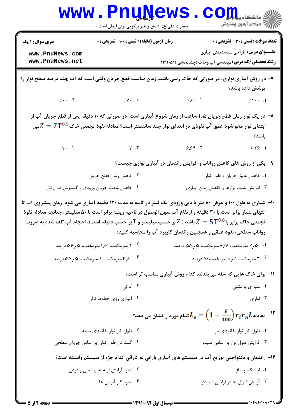|                                                                                                                                                                                                                                                                                                                                                                                                                           | <b>www.PnuNews</b><br>حضرت علی(ع): دانش راهبر نیکویی برای ایمان است |                                                                      | الله دانشکاه پیام ایران<br>ایران مرکز آنههن وسنجش                                   |  |  |
|---------------------------------------------------------------------------------------------------------------------------------------------------------------------------------------------------------------------------------------------------------------------------------------------------------------------------------------------------------------------------------------------------------------------------|---------------------------------------------------------------------|----------------------------------------------------------------------|-------------------------------------------------------------------------------------|--|--|
| <b>سری سوال : ۱ یک</b><br>www.PnuNews.com<br>www.PnuNews.net                                                                                                                                                                                                                                                                                                                                                              | زمان آزمون (دقیقه) : تستی : 100 تشریحی : 0                          | <b>رشته تحصیلی/کد درس:</b> مهندسی آب وخاک (چندبخشی )۱۴۱۱۰۵۱ <b>۱</b> | <b>تعداد سوالات : تستی : 30 ٪ تشریحی : 0</b><br>عنـــوان درس: طراحی سیستمهای آبیاری |  |  |
| ۷– در روش آبیاری نواری، در صورتی که خاک رسی باشد، زمان مناسب قطع جریان وقتی است که آب چند درصد سطح نوار را<br>پوشش داده باشد؟                                                                                                                                                                                                                                                                                             |                                                                     |                                                                      |                                                                                     |  |  |
|                                                                                                                                                                                                                                                                                                                                                                                                                           | $\sqrt{5}$ . F $\sqrt{11}$                                          | $/\Lambda$ . T                                                       | $\sqrt{1 + \cdot}$ .                                                                |  |  |
| ۸− در یک نوار زمان قطع جریان ۱٫۵ ساعت از زمان شروع آبیاری است، در صورتی که ۱۰ دقیقه پس از قطع جریان آب از<br>ابتدای نوار محو شود عمق آب نفوذی در ابتدای نوار چند سانتیمتر است؟ معادله نفوذ تجمعی خاک $Z=7$ می<br>باشد؟                                                                                                                                                                                                    |                                                                     |                                                                      |                                                                                     |  |  |
| $V \cdot \cdot f$                                                                                                                                                                                                                                                                                                                                                                                                         | $\gamma$ . $\gamma$                                                 | 9.89.7                                                               | 9.19.1                                                                              |  |  |
|                                                                                                                                                                                                                                                                                                                                                                                                                           |                                                                     | ۹- یکی از روش های کاهش رواناب و افزایش راندمان در آبیاری نواری چیست؟ |                                                                                     |  |  |
|                                                                                                                                                                                                                                                                                                                                                                                                                           | ۰۲ کاهش زمان قطع جريان                                              |                                                                      | ۰۱ كاهش عمق جريان و طول نوار                                                        |  |  |
|                                                                                                                                                                                                                                                                                                                                                                                                                           | ۰۴ کاهش شدت جریان ورودی و گسترش طول نوار                            |                                                                      | ۰۳ افزایش شیب نوارها و کاهش زمان آبیاری                                             |  |  |
| ۱۰- شیاری به طول ۱۰۰ و عرض ۸۰ متر با دبی ورودی یک لیتر در ثانیه به مدت ۱۲۰ دقیقه آبیاری می شود. زمان پیشروی آب تا<br>انتهای شیار برابر است با ۳۰ دقیقه و ارتفاع آب سهل الوصول در ناحیه ریشه برابر است با ۵۰ میلیمتر، چنانچه معادله نفوذ<br>تجمعی خاک برابر با $\Gamma^{0.6}$ باشد ( Z بر حسب میلیمتر و T بر حسب دقیقه است)، احجام آب تلف شده به صورت<br>رواناب سطحی، نفوذ عمقی و همچنین راندمان کاربرد آب را محاسبه کنید؟ |                                                                     |                                                                      |                                                                                     |  |  |
|                                                                                                                                                                                                                                                                                                                                                                                                                           | ۲۰۲ مترمکعب، ۲رامترمکعب، ۲٫۵هدرصد                                   | ۰۱ هر۲مترمکعب، ۷ره مترمکعب، ۵ ر۵۵ درصد                               |                                                                                     |  |  |
| ۰۴ - ۲٫۲ مترمکعب، ۱ مترمکعب، ۶٫۵۵ درصد                                                                                                                                                                                                                                                                                                                                                                                    |                                                                     | ۰۳ مترمکعب، ۲٫ مترمکعب،۵۶ درصد                                       |                                                                                     |  |  |
|                                                                                                                                                                                                                                                                                                                                                                                                                           |                                                                     | 1۱- برای خاک هایی که سله می بندند، کدام روش آبیاری مناسب تر است؟     |                                                                                     |  |  |
|                                                                                                                                                                                                                                                                                                                                                                                                                           | ۰۲ کرتی                                                             | ۰۱ شیاری یا نشتی                                                     |                                                                                     |  |  |
|                                                                                                                                                                                                                                                                                                                                                                                                                           | ۰۴ آبیاری روی خطوط تراز                                             |                                                                      | ۰۳ نواری                                                                            |  |  |
| <sup>11</sup> معادله $r_i r_n L$ $r_i \overline{r_n} L$ معادله $L_e = \left(1 - \frac{E}{100}\right) r_i r_n L$ کدام مورد را نشان می دهد $^{-12}$                                                                                                                                                                                                                                                                         |                                                                     |                                                                      |                                                                                     |  |  |
|                                                                                                                                                                                                                                                                                                                                                                                                                           | ۰۲ طول کل نوار با انتهای بسته                                       |                                                                      | ۰۱ طول کل نوار با انتهای باز                                                        |  |  |
|                                                                                                                                                                                                                                                                                                                                                                                                                           | ۰۴ گسترش طول نوار بر اساس جریان سطحی                                |                                                                      | ۰۳ افزایش طول نوار بر اساس شیب                                                      |  |  |
| ۱۳- راندمان و یکنواختی توزیع آب در سیستم های آبیاری بارانی به کارائی کدام جزء از سیستم وابسته است؟                                                                                                                                                                                                                                                                                                                        |                                                                     |                                                                      |                                                                                     |  |  |
|                                                                                                                                                                                                                                                                                                                                                                                                                           | ۰۲ نحوه آرایش لوله های اصلی و فرعی                                  |                                                                      | ۰۱ ایستگاه پمپاژ                                                                    |  |  |
|                                                                                                                                                                                                                                                                                                                                                                                                                           | ۰۴ نحوه کار آبپاش ها                                                |                                                                      | ۰۳ آرایش لترال ها در اراضی شیبدار                                                   |  |  |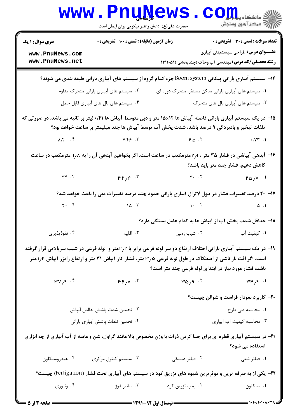|                                                                                                                                                | www.PnuNews.<br>حضرت علی(ع): دانش راهبر نیکویی برای ایمان است |                                                                                                                                                                                                                                                                                                                                                             | COJJL                                        |  |  |
|------------------------------------------------------------------------------------------------------------------------------------------------|---------------------------------------------------------------|-------------------------------------------------------------------------------------------------------------------------------------------------------------------------------------------------------------------------------------------------------------------------------------------------------------------------------------------------------------|----------------------------------------------|--|--|
| <b>سری سوال : ۱ یک</b>                                                                                                                         | زمان آزمون (دقیقه) : تستی : ۱۰۰ آتشریحی : ۰                   |                                                                                                                                                                                                                                                                                                                                                             | <b>تعداد سوالات : تستی : 30 - تشریحی : 0</b> |  |  |
| www.PnuNews.com<br>www.PnuNews.net                                                                                                             |                                                               | <b>رشته تحصیلی/کد درس:</b> مهندسی آب وخاک (چندبخشی )۵۱۱۰۵۱۱                                                                                                                                                                                                                                                                                                 | <b>عنـــوان درس:</b> طراحی سیستمهای آبیاری   |  |  |
| ۱۴– سیستم آبیاری بارانی پیکانی Boom system جزء کدام گروه از سیستم های آبیاری بارانی طبقه بندی می شوند؟                                         |                                                               |                                                                                                                                                                                                                                                                                                                                                             |                                              |  |  |
|                                                                                                                                                | ۰۲ سیستم های آبیاری بارانی متحرک مداوم                        | ۰۱ سیستم های آبیاری بارانی ساکن مستقر، متحرک دوره ای                                                                                                                                                                                                                                                                                                        |                                              |  |  |
|                                                                                                                                                | ۰۴ سیستم های بال های آبیاری قابل حمل                          |                                                                                                                                                                                                                                                                                                                                                             | ۰۳ سیستم های آبیاری بال های متحرک            |  |  |
|                                                                                                                                                |                                                               | ۱۵– در یک سیستم آبیاری بارانی فاصله آبپاش ها ۱۲×۱۵ متر و دبی متوسط آبپاش ها ۰،۴۱ لیتر بر ثانیه می باشد. در صورتی که                                                                                                                                                                                                                                         |                                              |  |  |
|                                                                                                                                                |                                                               | تلفات تبخیر و بادبردگی ۹ درصد باشد، شدت پخش آب توسط آبپاش ها چند میلیمتر بر ساعت خواهد بود؟                                                                                                                                                                                                                                                                 |                                              |  |  |
|                                                                                                                                                |                                                               | $\lambda_1$ , $\lambda_2$ , $\lambda_3$ , $\lambda_4$ , $\lambda_5$ , $\lambda_7$ , $\lambda_8$ , $\lambda_7$ , $\lambda_8$ , $\lambda_7$ , $\lambda_8$ , $\lambda_7$ , $\lambda_8$ , $\lambda_9$ , $\lambda_9$ , $\lambda_1$ , $\lambda_2$ , $\lambda_3$ , $\lambda_4$ , $\lambda_5$ , $\lambda_7$ , $\lambda_8$ , $\lambda_8$ , $\lambda_9$ , $\lambda_1$ |                                              |  |  |
| ۱۶– آبدهی آبپاشی در فشار ۳۵ متر ، ۱٫۱مترمکعب در ساعت است. اگر بخواهیم آبدهی آن را به ۱٫۸ مترمکعب در ساعت<br>کاهش دهیم، فشار چند متر باید باشد؟ |                                                               |                                                                                                                                                                                                                                                                                                                                                             |                                              |  |  |
| $Y - \gamma Y$                                                                                                                                 |                                                               | $\mu \mu \mu \epsilon$ . T                                                                                                                                                                                                                                                                                                                                  | $\mathsf{ra}_{\ell} \mathsf{v}$ .            |  |  |
|                                                                                                                                                |                                                               | ۱۷- ۲۰ درصد تغییرات فشار در طول لاترال آبیاری بارانی حدود چند درصد تغییرات دبی را باعث خواهد شد؟                                                                                                                                                                                                                                                            |                                              |  |  |
| $\uparrow \cdot \quad . \uparrow$                                                                                                              |                                                               | $\begin{array}{ccc} \n\begin{array}{ccc} \n\text{10} & \cdot & \n\end{array} & \n\end{array}$                                                                                                                                                                                                                                                               | $\Delta$ . 1                                 |  |  |
|                                                                                                                                                |                                                               | ۱۸– حداقل شدت پخش آب از آبپاش ها به کدام عامل بستگی دارد؟                                                                                                                                                                                                                                                                                                   |                                              |  |  |
| ۰۴ نفوذپذیری                                                                                                                                   |                                                               |                                                                                                                                                                                                                                                                                                                                                             |                                              |  |  |
|                                                                                                                                                |                                                               | ۱۹– در یک سیستم آبیاری بارانی اختلاف ارتفاع دو سر لوله فرعی برابر با ۲؍۲متر و  لوله فرعی در شیب سربالایی قرار گرفته                                                                                                                                                                                                                                         |                                              |  |  |
|                                                                                                                                                |                                                               | است، اگر افت بار ناشی از اصطکاک در طول لوله فرعی ۳٫۵ متر، فشار کار آبپاش ۳۱ متر و ارتفاع رایزر آبپاش ۲٫۲متر                                                                                                                                                                                                                                                 |                                              |  |  |
|                                                                                                                                                |                                                               | باشد، فشار مورد نیاز در ابتدای لوله فرعی چند متر است؟                                                                                                                                                                                                                                                                                                       |                                              |  |  |
| $^4$ . $^4$ $^4$                                                                                                                               | ۳۶ <sub>/۸</sub> ۰ <sup>۳</sup>                               | ۳۵٫۹ $\cdot$ ۲                                                                                                                                                                                                                                                                                                                                              | ۰۱ $P_{\setminus}$ ۹۳                        |  |  |
|                                                                                                                                                |                                                               |                                                                                                                                                                                                                                                                                                                                                             | ۲۰– کاربرد نمودار فراست و شوالن چیست؟        |  |  |
|                                                                                                                                                | ۰۲ تخمین شدت پاشش خالص آبپاش                                  |                                                                                                                                                                                                                                                                                                                                                             | ٠١. محاسبه دبي طرح                           |  |  |
|                                                                                                                                                | ۰۴ تخمین تلفات پاشش آبیاری بارانی                             |                                                                                                                                                                                                                                                                                                                                                             | ۰۳ محاسبه كيفيت آب آبياري                    |  |  |
|                                                                                                                                                |                                                               | <b>۳۱</b> – در سیستم آبیاری قطره ای برای جدا کردن ذرات با وزن مخصوص بالا مانند گراول، شن و ماسه از آب آبیاری از چه ابزاری                                                                                                                                                                                                                                   | استفاده می شود؟                              |  |  |
| ۰۴ هیدروسیکلون                                                                                                                                 | ۰۳ سیستم کنترل مرکزی                                          | ۰۲ فیلتر دیسکی                                                                                                                                                                                                                                                                                                                                              | ۰۱ فیلتر شنی                                 |  |  |
| <b>۲۲</b> - یکی از به صرفه ترین و موثرترین شیوه های تزریق کود در سیستم های آبیاری تحت فشار (Fertigation) چیست؟                                 |                                                               |                                                                                                                                                                                                                                                                                                                                                             |                                              |  |  |
| ۰۴ ونتوری                                                                                                                                      | ۰۳ سانتریفوژ                                                  | ۰۲ پمپ تزریق کود                                                                                                                                                                                                                                                                                                                                            | ۰۱ سیکلون                                    |  |  |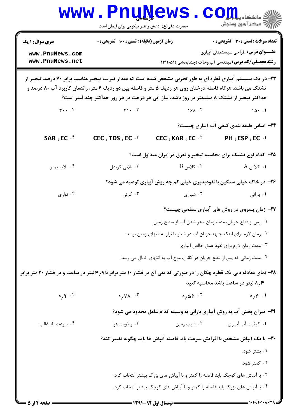|                                                                                                                                                                                                                                                                                                                               | <b>www.PnuNews</b><br>حضرت علی(ع): دانش راهبر نیکویی برای ایمان است           |                                                                                | $\mathbf{COJJL}$ چ دانشڪاه پيا<br>رآ مرکز آزمون وسنجش                               |  |  |
|-------------------------------------------------------------------------------------------------------------------------------------------------------------------------------------------------------------------------------------------------------------------------------------------------------------------------------|-------------------------------------------------------------------------------|--------------------------------------------------------------------------------|-------------------------------------------------------------------------------------|--|--|
| <b>سری سوال :</b> ۱ یک<br>www.PnuNews.com                                                                                                                                                                                                                                                                                     | زمان آزمون (دقیقه) : تستی : 100 تشریحی : 0                                    |                                                                                | تعداد سوالات : تستى : 30 ٪ تشريحي : 0<br><b>عنـــوان درس:</b> طراحی سیستمهای آبیاری |  |  |
| www.PnuNews.net                                                                                                                                                                                                                                                                                                               |                                                                               |                                                                                | <b>رشته تحصیلی/کد درس:</b> مهندسی آب وخاک (چندبخشی )۱۴۱۱۰۵۱ <b>۱</b>                |  |  |
| <b>۲۳</b> – در یک سیستم آبیاری قطره ای به طور تجربی مشخص شده است که مقدار ضریب تبخیر مناسب برابر ۷۰ درصد تبخیر از<br>تشتک می باشد. هرگاه فاصله درختان روی هر ردیف ۵ متر و فاصله بین دو ردیف ۶ متر، راندمان کاربرد آب ۸۰ درصد و<br>حداکثر تبخیر از تشتک ۸ میلیمتر در روز باشد، نیاز آبی هر درخت در هر روز حداکثر چند لیتر است؟ |                                                                               |                                                                                |                                                                                     |  |  |
|                                                                                                                                                                                                                                                                                                                               | $\mathbf{Y} \cdot \cdot \cdot \mathbf{Y}$ $\mathbf{Y} \cdot \cdot \mathbf{Y}$ | 151.7                                                                          | $10 \cdot .1$                                                                       |  |  |
|                                                                                                                                                                                                                                                                                                                               |                                                                               |                                                                                | ۲۴– اساس طبقه بندی کیفی آب آبیاری چیست؟                                             |  |  |
| SAR, EC <sup>+</sup>                                                                                                                                                                                                                                                                                                          | CEC $\cdot$ TDS $\cdot$ EC $\cdot$ $\cdot$                                    | CEC $: KAR : ECY$                                                              | PH . ESP . EC . 1                                                                   |  |  |
|                                                                                                                                                                                                                                                                                                                               |                                                                               | ۲۵– کدام نوع تشتک برای محاسبه تبخیر و تعرق در ایران متداول است؟                |                                                                                     |  |  |
| ۰۴ لايسيمتر                                                                                                                                                                                                                                                                                                                   | ۰۳ بلانی کریدل                                                                | $\rm B$ کلاس $\,$ . ۲                                                          | ۰۱ کلاس A                                                                           |  |  |
|                                                                                                                                                                                                                                                                                                                               |                                                                               | ۲۶- در خاک خیلی سنگین با نفوذپذیری خیلی کم چه روش آبیاری توصیه می شود؟         |                                                                                     |  |  |
| ۰۴ نواری                                                                                                                                                                                                                                                                                                                      | ۰۳ کرتی $\cdot$                                                               | ۰۲ شیاری                                                                       | ۰۱ بارانی                                                                           |  |  |
|                                                                                                                                                                                                                                                                                                                               |                                                                               |                                                                                | <b>۲۷- زمان پسروی در روش های آبیاری سطحی چیست</b> ؟                                 |  |  |
|                                                                                                                                                                                                                                                                                                                               |                                                                               | ٠١ پس از قطع جريان، مدت زمان محو شدن آب از سطح زمين                            |                                                                                     |  |  |
|                                                                                                                                                                                                                                                                                                                               | ۰۲ زمان لازم برای اینکه جبهه جریان آب در شیار یا نوار به انتهای زمین برسد.    |                                                                                |                                                                                     |  |  |
|                                                                                                                                                                                                                                                                                                                               | ۰۳ مدت زمان لازم براي نفوذ عمق خالص آبياري                                    |                                                                                |                                                                                     |  |  |
|                                                                                                                                                                                                                                                                                                                               | ۰۴ مدت زمانی که پس از قطع جریان در کانال، موج آب به انتهای کانال می رسد.      |                                                                                |                                                                                     |  |  |
| ۲۸- نمای معادله دبی یک قطره چکان را در صورتی که دبی آن در فشار ۱۰ متر برابر با ۴٫۹ لیتر در ساعت و در فشار ۲۰ متر برابر                                                                                                                                                                                                        |                                                                               |                                                                                | ۸٫۴ لیتر در ساعت باشد محاسبه کنید                                                   |  |  |
| $\circ$ , $\circ$ , $\circ$                                                                                                                                                                                                                                                                                                   | $\sim$ $\gamma$ $\lambda$ $\sim$ $\sim$                                       | $0,05$ .                                                                       | $0/5$ $\cdot$                                                                       |  |  |
|                                                                                                                                                                                                                                                                                                                               |                                                                               | <b>۲۹</b> - میزان پخش آب به روش آبیاری بارانی به وسیله کدام عامل محدود می شود؟ |                                                                                     |  |  |
| ۰۴ سرعت باد غالب                                                                                                                                                                                                                                                                                                              | ۰۳ رطوبت هوا                                                                  | ۰۲ شیب زمین                                                                    | ٠١. كيفيت أب أبياري                                                                 |  |  |
|                                                                                                                                                                                                                                                                                                                               |                                                                               | ۳۰– با یک آبپاش مشخص با افزایش سرعت باد، فاصله آبپاش ها باید چگونه تغییر کند؟  |                                                                                     |  |  |
|                                                                                                                                                                                                                                                                                                                               |                                                                               |                                                                                | ۰۱ بشتر شود.                                                                        |  |  |
|                                                                                                                                                                                                                                                                                                                               |                                                                               |                                                                                | ۰۲ کمتر شود.                                                                        |  |  |
|                                                                                                                                                                                                                                                                                                                               | ۰۳ با آبپاش های کوچک باید فاصله را کمتر و با آبپاش های بزرگ بیشتر انتخاب کرد. |                                                                                |                                                                                     |  |  |
| ۰۴ با آبپاش های بزرگ باید فاصله را کمتر و با آبپاش های کوچک بیشتر انتخاب کرد.                                                                                                                                                                                                                                                 |                                                                               |                                                                                |                                                                                     |  |  |
| = صفحه 14: 5                                                                                                                                                                                                                                                                                                                  |                                                                               |                                                                                | ≡ ۱・1・/1・1・∧۶۲۸                                                                     |  |  |